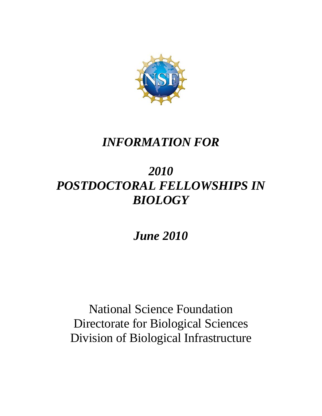

# *INFORMATION FOR*

# *2010 POSTDOCTORAL FELLOWSHIPS IN BIOLOGY*

*June 2010* 

National Science Foundation Directorate for Biological Sciences Division of Biological Infrastructure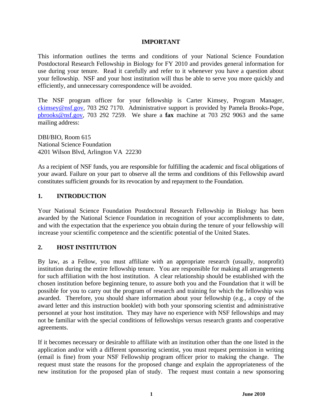#### **IMPORTANT**

This information outlines the terms and conditions of your National Science Foundation Postdoctoral Research Fellowship in Biology for FY 2010 and provides general information for use during your tenure. Read it carefully and refer to it whenever you have a question about your fellowship. NSF and your host institution will thus be able to serve you more quickly and efficiently, and unnecessary correspondence will be avoided.

The NSF program officer for your fellowship is Carter Kimsey, Program Manager, ckimsey@nsf.gov, 703 292 7170. Administrative support is provided by Pamela Brooks-Pope, pbrooks@nsf.gov, 703 292 7259. We share a **fax** machine at 703 292 9063 and the same mailing address:

DBI/BIO, Room 615 National Science Foundation 4201 Wilson Blvd, Arlington VA 22230

As a recipient of NSF funds, you are responsible for fulfilling the academic and fiscal obligations of your award. Failure on your part to observe all the terms and conditions of this Fellowship award constitutes sufficient grounds for its revocation by and repayment to the Foundation.

#### **1. INTRODUCTION**

Your National Science Foundation Postdoctoral Research Fellowship in Biology has been awarded by the National Science Foundation in recognition of your accomplishments to date, and with the expectation that the experience you obtain during the tenure of your fellowship will increase your scientific competence and the scientific potential of the United States.

#### **2. HOST INSTITUTION**

By law, as a Fellow, you must affiliate with an appropriate research (usually, nonprofit) institution during the entire fellowship tenure. You are responsible for making all arrangements for such affiliation with the host institution. A clear relationship should be established with the chosen institution before beginning tenure, to assure both you and the Foundation that it will be possible for you to carry out the program of research and training for which the fellowship was awarded. Therefore, you should share information about your fellowship (e.g., a copy of the award letter and this instruction booklet) with both your sponsoring scientist and administrative personnel at your host institution. They may have no experience with NSF fellowships and may not be familiar with the special conditions of fellowships versus research grants and cooperative agreements.

If it becomes necessary or desirable to affiliate with an institution other than the one listed in the application and/or with a different sponsoring scientist, you must request permission in writing (email is fine) from your NSF Fellowship program officer prior to making the change. The request must state the reasons for the proposed change and explain the appropriateness of the new institution for the proposed plan of study. The request must contain a new sponsoring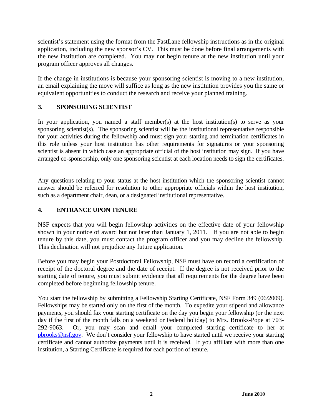scientist's statement using the format from the FastLane fellowship instructions as in the original application, including the new sponsor's CV. This must be done before final arrangements with the new institution are completed. You may not begin tenure at the new institution until your program officer approves all changes.

If the change in institutions is because your sponsoring scientist is moving to a new institution, an email explaining the move will suffice as long as the new institution provides you the same or equivalent opportunities to conduct the research and receive your planned training.

## **3. SPONSORING SCIENTIST**

In your application, you named a staff member(s) at the host institution(s) to serve as your sponsoring scientist(s). The sponsoring scientist will be the institutional representative responsible for your activities during the fellowship and must sign your starting and termination certificates in this role unless your host institution has other requirements for signatures or your sponsoring scientist is absent in which case an appropriate official of the host institution may sign. If you have arranged co-sponsorship, only one sponsoring scientist at each location needs to sign the certificates.

Any questions relating to your status at the host institution which the sponsoring scientist cannot answer should be referred for resolution to other appropriate officials within the host institution, such as a department chair, dean, or a designated institutional representative.

# **4. ENTRANCE UPON TENURE**

NSF expects that you will begin fellowship activities on the effective date of your fellowship shown in your notice of award but not later than January 1, 2011. If you are not able to begin tenure by this date, you must contact the program officer and you may decline the fellowship. This declination will not prejudice any future application.

Before you may begin your Postdoctoral Fellowship, NSF must have on record a certification of receipt of the doctoral degree and the date of receipt. If the degree is not received prior to the starting date of tenure, you must submit evidence that all requirements for the degree have been completed before beginning fellowship tenure.

You start the fellowship by submitting a Fellowship Starting Certificate, NSF Form 349 (06/2009). Fellowships may be started only on the first of the month. To expedite your stipend and allowance payments, you should fax your starting certificate on the day you begin your fellowship (or the next day if the first of the month falls on a weekend or Federal holiday) to Mrs. Brooks-Pope at 703- 292-9063. Or, you may scan and email your completed starting certificate to her at pbrooks@nsf.gov. We don't consider your fellowship to have started until we receive your starting certificate and cannot authorize payments until it is received. If you affiliate with more than one institution, a Starting Certificate is required for each portion of tenure.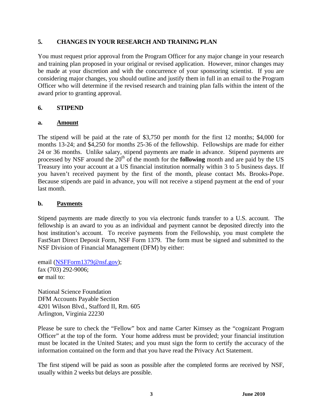#### **5. CHANGES IN YOUR RESEARCH AND TRAINING PLAN**

You must request prior approval from the Program Officer for any major change in your research and training plan proposed in your original or revised application. However, minor changes may be made at your discretion and with the concurrence of your sponsoring scientist. If you are considering major changes, you should outline and justify them in full in an email to the Program Officer who will determine if the revised research and training plan falls within the intent of the award prior to granting approval.

#### **6. STIPEND**

#### **a. Amount**

The stipend will be paid at the rate of \$3,750 per month for the first 12 months; \$4,000 for months 13-24; and \$4,250 for months 25-36 of the fellowship. Fellowships are made for either 24 or 36 months. Unlike salary, stipend payments are made in advance. Stipend payments are processed by NSF around the 20<sup>th</sup> of the month for the **following** month and are paid by the US Treasury into your account at a US financial institution normally within 3 to 5 business days. If you haven't received payment by the first of the month, please contact Ms. Brooks-Pope. Because stipends are paid in advance, you will not receive a stipend payment at the end of your last month.

#### **b. Payments**

Stipend payments are made directly to you via electronic funds transfer to a U.S. account. The fellowship is an award to you as an individual and payment cannot be deposited directly into the host institution's account. To receive payments from the Fellowship, you must complete the FastStart Direct Deposit Form, NSF Form 1379. The form must be signed and submitted to the NSF Division of Financial Management (DFM) by either:

email (NSFForm1379@nsf.gov); fax (703) 292-9006; **or** mail to:

National Science Foundation DFM Accounts Payable Section 4201 Wilson Blvd., Stafford II, Rm. 605 Arlington, Virginia 22230

Please be sure to check the "Fellow" box and name Carter Kimsey as the "cognizant Program Officer" at the top of the form. Your home address must be provided; your financial institution must be located in the United States; and you must sign the form to certify the accuracy of the information contained on the form and that you have read the Privacy Act Statement.

The first stipend will be paid as soon as possible after the completed forms are received by NSF, usually within 2 weeks but delays are possible.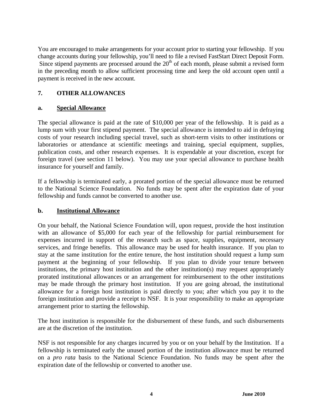You are encouraged to make arrangements for your account prior to starting your fellowship. If you change accounts during your fellowship, you'll need to file a revised FastStart Direct Deposit Form. Since stipend payments are processed around the  $20<sup>th</sup>$  of each month, please submit a revised form in the preceding month to allow sufficient processing time and keep the old account open until a payment is received in the new account.

## **7. OTHER ALLOWANCES**

#### **a. Special Allowance**

The special allowance is paid at the rate of \$10,000 per year of the fellowship. It is paid as a lump sum with your first stipend payment. The special allowance is intended to aid in defraying costs of your research including special travel, such as short-term visits to other institutions or laboratories or attendance at scientific meetings and training, special equipment, supplies, publication costs, and other research expenses. It is expendable at your discretion, except for foreign travel (see section 11 below). You may use your special allowance to purchase health insurance for yourself and family.

If a fellowship is terminated early, a prorated portion of the special allowance must be returned to the National Science Foundation. No funds may be spent after the expiration date of your fellowship and funds cannot be converted to another use.

#### **b. Institutional Allowance**

On your behalf, the National Science Foundation will, upon request, provide the host institution with an allowance of \$5,000 for each year of the fellowship for partial reimbursement for expenses incurred in support of the research such as space, supplies, equipment, necessary services, and fringe benefits. This allowance may be used for health insurance. If you plan to stay at the same institution for the entire tenure, the host institution should request a lump sum payment at the beginning of your fellowship. If you plan to divide your tenure between institutions, the primary host institution and the other institution(s) may request appropriately prorated institutional allowances or an arrangement for reimbursement to the other institutions may be made through the primary host institution. If you are going abroad, the institutional allowance for a foreign host institution is paid directly to you; after which you pay it to the foreign institution and provide a receipt to NSF. It is your responsibility to make an appropriate arrangement prior to starting the fellowship.

The host institution is responsible for the disbursement of these funds, and such disbursements are at the discretion of the institution.

NSF is not responsible for any charges incurred by you or on your behalf by the Institution. If a fellowship is terminated early the unused portion of the institution allowance must be returned on a *pro rata* basis to the National Science Foundation. No funds may be spent after the expiration date of the fellowship or converted to another use.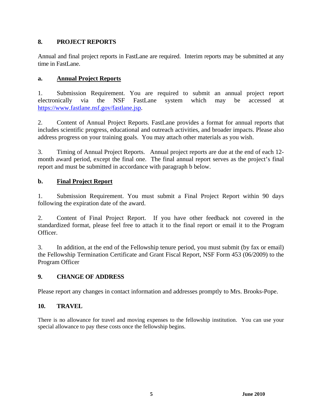## **8. PROJECT REPORTS**

Annual and final project reports in FastLane are required. Interim reports may be submitted at any time in FastLane.

## **a. Annual Project Reports**

1. Submission Requirement. You are required to submit an annual project report electronically via the NSF FastLane system which may be accessed at https://www.fastlane.nsf.gov/fastlane.jsp.

2. Content of Annual Project Reports. FastLane provides a format for annual reports that includes scientific progress, educational and outreach activities, and broader impacts. Please also address progress on your training goals. You may attach other materials as you wish.

3. Timing of Annual Project Reports. Annual project reports are due at the end of each 12 month award period, except the final one. The final annual report serves as the project's final report and must be submitted in accordance with paragraph b below.

# **b. Final Project Report**

1. Submission Requirement. You must submit a Final Project Report within 90 days following the expiration date of the award.

2. Content of Final Project Report. If you have other feedback not covered in the standardized format, please feel free to attach it to the final report or email it to the Program Officer.

3. In addition, at the end of the Fellowship tenure period, you must submit (by fax or email) the Fellowship Termination Certificate and Grant Fiscal Report, NSF Form 453 (06/2009) to the Program Officer

# **9. CHANGE OF ADDRESS**

Please report any changes in contact information and addresses promptly to Mrs. Brooks-Pope.

# **10. TRAVEL**

There is no allowance for travel and moving expenses to the fellowship institution. You can use your special allowance to pay these costs once the fellowship begins.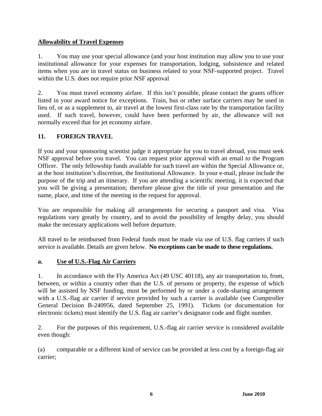## **Allowability of Travel Expenses**

1. You may use your special allowance (and your host institution may allow you to use your institutional allowance for your expenses for transportation, lodging, subsistence and related items when you are in travel status on business related to your NSF-supported project. Travel within the U.S. does not require prior NSF approval

2. You must travel economy airfare. If this isn't possible, please contact the grants officer listed in your award notice for exceptions. Train, bus or other surface carriers may be used in lieu of, or as a supplement to, air travel at the lowest first-class rate by the transportation facility used. If such travel, however, could have been performed by air, the allowance will not normally exceed that for jet economy airfare.

# **11. FOREIGN TRAVEL**

If you and your sponsoring scientist judge it appropriate for you to travel abroad, you must seek NSF approval before you travel. You can request prior approval with an email to the Program Officer. The only fellowship funds available for such travel are within the Special Allowance or, at the host institution's discretion, the Institutional Allowance. In your e-mail, please include the purpose of the trip and an itinerary. If you are attending a scientific meeting, it is expected that you will be giving a presentation; therefore please give the title of your presentation and the name, place, and time of the meeting in the request for approval.

You are responsible for making all arrangements for securing a passport and visa. Visa regulations vary greatly by country, and to avoid the possibility of lengthy delay, you should make the necessary applications well before departure.

All travel to be reimbursed from Federal funds must be made via use of U.S. flag carriers if such service is available. Details are given below. **No exceptions can be made to these regulations.** 

# **a. Use of U.S.-Flag Air Carriers**

1. In accordance with the Fly America Act (49 USC 40118), any air transportation to, from, between, or within a country other than the U.S. of persons or property, the expense of which will be assisted by NSF funding, must be performed by or under a code-sharing arrangement with a U.S.-flag air carrier if service provided by such a carrier is available (see Comptroller General Decision B-240956, dated September 25, 1991). Tickets (or documentation for electronic tickets) must identify the U.S. flag air carrier's designator code and flight number.

2. For the purposes of this requirement, U.S.-flag air carrier service is considered available even though:

(a) comparable or a different kind of service can be provided at less cost by a foreign-flag air carrier;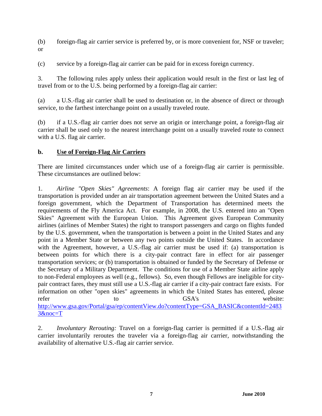(b) foreign-flag air carrier service is preferred by, or is more convenient for, NSF or traveler; or

(c) service by a foreign-flag air carrier can be paid for in excess foreign currency.

3. The following rules apply unless their application would result in the first or last leg of travel from or to the U.S. being performed by a foreign-flag air carrier:

(a) a U.S.-flag air carrier shall be used to destination or, in the absence of direct or through service, to the farthest interchange point on a usually traveled route.

(b) if a U.S.-flag air carrier does not serve an origin or interchange point, a foreign-flag air carrier shall be used only to the nearest interchange point on a usually traveled route to connect with a U.S. flag air carrier.

## **b. Use of Foreign-Flag Air Carriers**

There are limited circumstances under which use of a foreign-flag air carrier is permissible. These circumstances are outlined below:

1. *Airline "Open Skies" Agreements*: A foreign flag air carrier may be used if the transportation is provided under an air transportation agreement between the United States and a foreign government, which the Department of Transportation has determined meets the requirements of the Fly America Act. For example, in 2008, the U.S. entered into an "Open Skies" Agreement with the European Union. This Agreement gives European Community airlines (airlines of Member States) the right to transport passengers and cargo on flights funded by the U.S. government, when the transportation is between a point in the United States and any point in a Member State or between any two points outside the United States. In accordance with the Agreement, however, a U.S.-flag air carrier must be used if: (a) transportation is between points for which there is a city-pair contract fare in effect for air passenger transportation services; or (b) transportation is obtained or funded by the Secretary of Defense or the Secretary of a Military Department. The conditions for use of a Member State airline apply to non-Federal employees as well (e.g., fellows). So, even though Fellows are ineligible for citypair contract fares, they must still use a U.S.-flag air carrier if a city-pair contract fare exists. For information on other "open skies" agreements in which the United States has entered, please refer to to GSA's website: http://www.gsa.gov/Portal/gsa/ep/contentView.do?contentType=GSA\_BASIC&contentId=2483 3&noc=T

2. *Involuntary Rerouting:* Travel on a foreign-flag carrier is permitted if a U.S.-flag air carrier involuntarily reroutes the traveler via a foreign-flag air carrier, notwithstanding the availability of alternative U.S.-flag air carrier service.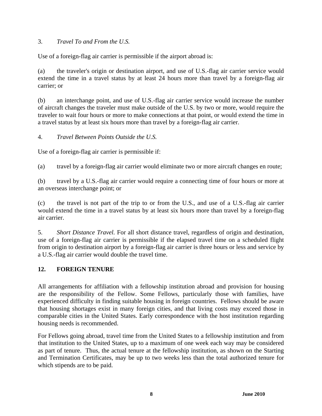## 3. *Travel To and From the U.S.*

Use of a foreign-flag air carrier is permissible if the airport abroad is:

(a) the traveler's origin or destination airport, and use of U.S.-flag air carrier service would extend the time in a travel status by at least 24 hours more than travel by a foreign-flag air carrier; or

(b) an interchange point, and use of U.S.-flag air carrier service would increase the number of aircraft changes the traveler must make outside of the U.S. by two or more, would require the traveler to wait four hours or more to make connections at that point, or would extend the time in a travel status by at least six hours more than travel by a foreign-flag air carrier.

4. *Travel Between Points Outside the U.S.* 

Use of a foreign-flag air carrier is permissible if:

(a) travel by a foreign-flag air carrier would eliminate two or more aircraft changes en route;

(b) travel by a U.S.-flag air carrier would require a connecting time of four hours or more at an overseas interchange point; or

(c) the travel is not part of the trip to or from the U.S., and use of a U.S.-flag air carrier would extend the time in a travel status by at least six hours more than travel by a foreign-flag air carrier.

5. *Short Distance Travel.* For all short distance travel, regardless of origin and destination, use of a foreign-flag air carrier is permissible if the elapsed travel time on a scheduled flight from origin to destination airport by a foreign-flag air carrier is three hours or less and service by a U.S.-flag air carrier would double the travel time.

#### **12. FOREIGN TENURE**

All arrangements for affiliation with a fellowship institution abroad and provision for housing are the responsibility of the Fellow. Some Fellows, particularly those with families, have experienced difficulty in finding suitable housing in foreign countries. Fellows should be aware that housing shortages exist in many foreign cities, and that living costs may exceed those in comparable cities in the United States. Early correspondence with the host institution regarding housing needs is recommended.

For Fellows going abroad, travel time from the United States to a fellowship institution and from that institution to the United States, up to a maximum of one week each way may be considered as part of tenure. Thus, the actual tenure at the fellowship institution, as shown on the Starting and Termination Certificates, may be up to two weeks less than the total authorized tenure for which stipends are to be paid.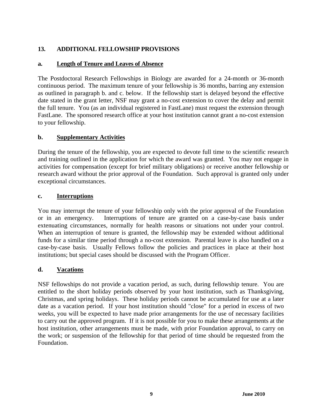## **13. ADDITIONAL FELLOWSHIP PROVISIONS**

#### **a. Length of Tenure and Leaves of Absence**

The Postdoctoral Research Fellowships in Biology are awarded for a 24-month or 36-month continuous period. The maximum tenure of your fellowship is 36 months, barring any extension as outlined in paragraph b. and c. below. If the fellowship start is delayed beyond the effective date stated in the grant letter, NSF may grant a no-cost extension to cover the delay and permit the full tenure. You (as an individual registered in FastLane) must request the extension through FastLane. The sponsored research office at your host institution cannot grant a no-cost extension to your fellowship.

#### **b. Supplementary Activities**

During the tenure of the fellowship, you are expected to devote full time to the scientific research and training outlined in the application for which the award was granted. You may not engage in activities for compensation (except for brief military obligations) or receive another fellowship or research award without the prior approval of the Foundation. Such approval is granted only under exceptional circumstances.

#### **c. Interruptions**

You may interrupt the tenure of your fellowship only with the prior approval of the Foundation or in an emergency. Interruptions of tenure are granted on a case-by-case basis under extenuating circumstances, normally for health reasons or situations not under your control. When an interruption of tenure is granted, the fellowship may be extended without additional funds for a similar time period through a no-cost extension. Parental leave is also handled on a case-by-case basis. Usually Fellows follow the policies and practices in place at their host institutions; but special cases should be discussed with the Program Officer.

#### **d. Vacations**

NSF fellowships do not provide a vacation period, as such, during fellowship tenure. You are entitled to the short holiday periods observed by your host institution, such as Thanksgiving, Christmas, and spring holidays. These holiday periods cannot be accumulated for use at a later date as a vacation period. If your host institution should "close" for a period in excess of two weeks, you will be expected to have made prior arrangements for the use of necessary facilities to carry out the approved program. If it is not possible for you to make these arrangements at the host institution, other arrangements must be made, with prior Foundation approval, to carry on the work; or suspension of the fellowship for that period of time should be requested from the Foundation.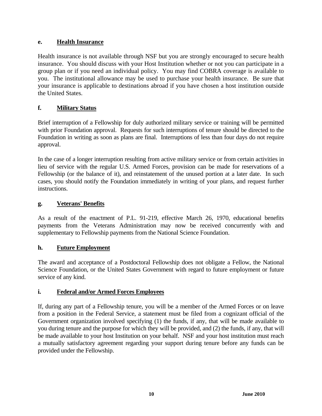## **e. Health Insurance**

Health insurance is not available through NSF but you are strongly encouraged to secure health insurance. You should discuss with your Host Institution whether or not you can participate in a group plan or if you need an individual policy. You may find COBRA coverage is available to you. The institutional allowance may be used to purchase your health insurance. Be sure that your insurance is applicable to destinations abroad if you have chosen a host institution outside the United States.

# **f. Military Status**

Brief interruption of a Fellowship for duly authorized military service or training will be permitted with prior Foundation approval. Requests for such interruptions of tenure should be directed to the Foundation in writing as soon as plans are final. Interruptions of less than four days do not require approval.

In the case of a longer interruption resulting from active military service or from certain activities in lieu of service with the regular U.S. Armed Forces, provision can be made for reservations of a Fellowship (or the balance of it), and reinstatement of the unused portion at a later date. In such cases, you should notify the Foundation immediately in writing of your plans, and request further instructions.

# **g. Veterans' Benefits**

As a result of the enactment of P.L. 91-219, effective March 26, 1970, educational benefits payments from the Veterans Administration may now be received concurrently with and supplementary to Fellowship payments from the National Science Foundation.

#### **h. Future Employment**

The award and acceptance of a Postdoctoral Fellowship does not obligate a Fellow, the National Science Foundation, or the United States Government with regard to future employment or future service of any kind.

# **i. Federal and/or Armed Forces Employees**

If, during any part of a Fellowship tenure, you will be a member of the Armed Forces or on leave from a position in the Federal Service, a statement must be filed from a cognizant official of the Government organization involved specifying (1) the funds, if any, that will be made available to you during tenure and the purpose for which they will be provided, and (2) the funds, if any, that will be made available to your host Institution on your behalf. NSF and your host institution must reach a mutually satisfactory agreement regarding your support during tenure before any funds can be provided under the Fellowship.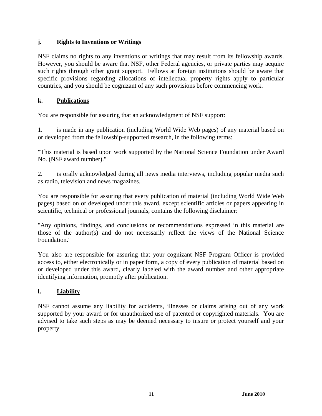## **j. Rights to Inventions or Writings**

NSF claims no rights to any inventions or writings that may result from its fellowship awards. However, you should be aware that NSF, other Federal agencies, or private parties may acquire such rights through other grant support. Fellows at foreign institutions should be aware that specific provisions regarding allocations of intellectual property rights apply to particular countries, and you should be cognizant of any such provisions before commencing work.

## **k. Publications**

You are responsible for assuring that an acknowledgment of NSF support:

1. is made in any publication (including World Wide Web pages) of any material based on or developed from the fellowship-supported research, in the following terms:

"This material is based upon work supported by the National Science Foundation under Award No. (NSF award number)."

2. is orally acknowledged during all news media interviews, including popular media such as radio, television and news magazines.

You are responsible for assuring that every publication of material (including World Wide Web pages) based on or developed under this award, except scientific articles or papers appearing in scientific, technical or professional journals, contains the following disclaimer:

"Any opinions, findings, and conclusions or recommendations expressed in this material are those of the author(s) and do not necessarily reflect the views of the National Science Foundation."

You also are responsible for assuring that your cognizant NSF Program Officer is provided access to, either electronically or in paper form, a copy of every publication of material based on or developed under this award, clearly labeled with the award number and other appropriate identifying information, promptly after publication.

# **l. Liability**

NSF cannot assume any liability for accidents, illnesses or claims arising out of any work supported by your award or for unauthorized use of patented or copyrighted materials. You are advised to take such steps as may be deemed necessary to insure or protect yourself and your property.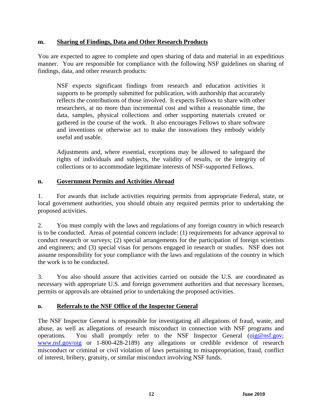#### **m. Sharing of Findings, Data and Other Research Products**

You are expected to agree to complete and open sharing of data and material in an expeditious manner. You are responsible for compliance with the following NSF guidelines on sharing of findings, data, and other research products:

NSF expects significant findings from research and education activities it supports to be promptly submitted for publication, with authorship that accurately reflects the contributions of those involved. It expects Fellows to share with other researchers, at no more than incremental cost and within a reasonable time, the data, samples, physical collections and other supporting materials created or gathered in the course of the work. It also encourages Fellows to share software and inventions or otherwise act to make the innovations they embody widely useful and usable.

Adjustments and, where essential, exceptions may be allowed to safeguard the rights of individuals and subjects, the validity of results, or the integrity of collections or to accommodate legitimate interests of NSF-supported Fellows.

#### **n. Government Permits and Activities Abroad**

1. For awards that include activities requiring permits from appropriate Federal, state, or local government authorities, you should obtain any required permits prior to undertaking the proposed activities.

2. You must comply with the laws and regulations of any foreign country in which research is to be conducted. Areas of potential concern include: (1) requirements for advance approval to conduct research or surveys; (2) special arrangements for the participation of foreign scientists and engineers; and (3) special visas for persons engaged in research or studies. NSF does not assume responsibility for your compliance with the laws and regulations of the country in which the work is to be conducted.

3. You also should assure that activities carried on outside the U.S. are coordinated as necessary with appropriate U.S. and foreign government authorities and that necessary licenses, permits or approvals are obtained prior to undertaking the proposed activities.

#### **o. Referrals to the NSF Office of the Inspector General**

The NSF Inspector General is responsible for investigating all allegations of fraud, waste, and abuse, as well as allegations of research misconduct in connection with NSF programs and operations. You shall promptly refer to the NSF Inspector General (oig@nsf.gov; www.nsf.gov/oig or 1-800-428-2189) any allegations or credible evidence of research misconduct or criminal or civil violation of laws pertaining to misappropriation, fraud, conflict of interest, bribery, gratuity, or similar misconduct involving NSF funds.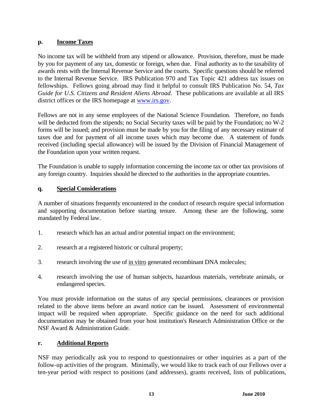## **p. Income Taxes**

No income tax will be withheld from any stipend or allowance. Provision, therefore, must be made by you for payment of any tax, domestic or foreign, when due. Final authority as to the taxability of awards rests with the Internal Revenue Service and the courts. Specific questions should be referred to the Internal Revenue Service. IRS Publication 970 and Tax Topic 421 address tax issues on fellowships. Fellows going abroad may find it helpful to consult IRS Publication No. 54, *Tax Guide for U.S. Citizens and Resident Aliens Abroad*. These publications are available at all IRS district offices or the IRS homepage at www.irs.gov.

Fellows are not in any sense employees of the National Science Foundation. Therefore, no funds will be deducted from the stipends; no Social Security taxes will be paid by the Foundation; no W-2 forms will be issued; and provision must be made by you for the filing of any necessary estimate of taxes due and for payment of all income taxes which may become due. A statement of funds received (including special allowance) will be issued by the Division of Financial Management of the Foundation upon your written request.

The Foundation is unable to supply information concerning the income tax or other tax provisions of any foreign country. Inquiries should be directed to the authorities in the appropriate countries.

## **q. Special Considerations**

A number of situations frequently encountered in the conduct of research require special information and supporting documentation before starting tenure. Among these are the following, some mandated by Federal law.

- 1. research which has an actual and/or potential impact on the environment;
- 2. research at a registered historic or cultural property;
- 3. research involving the use of in vitro generated recombinant DNA molecules;
- 4. research involving the use of human subjects, hazardous materials, vertebrate animals, or endangered species.

You must provide information on the status of any special permissions, clearances or provision related to the above items before an award notice can be issued. Assessment of environmental impact will be required when appropriate. Specific guidance on the need for such additional documentation may be obtained from your host institution's Research Administration Office or the NSF Award & Administration Guide.

#### **r. Additional Reports**

NSF may periodically ask you to respond to questionnaires or other inquiries as a part of the follow-up activities of the program. Minimally, we would like to track each of our Fellows over a ten-year period with respect to positions (and addresses), grants received, lists of publications,